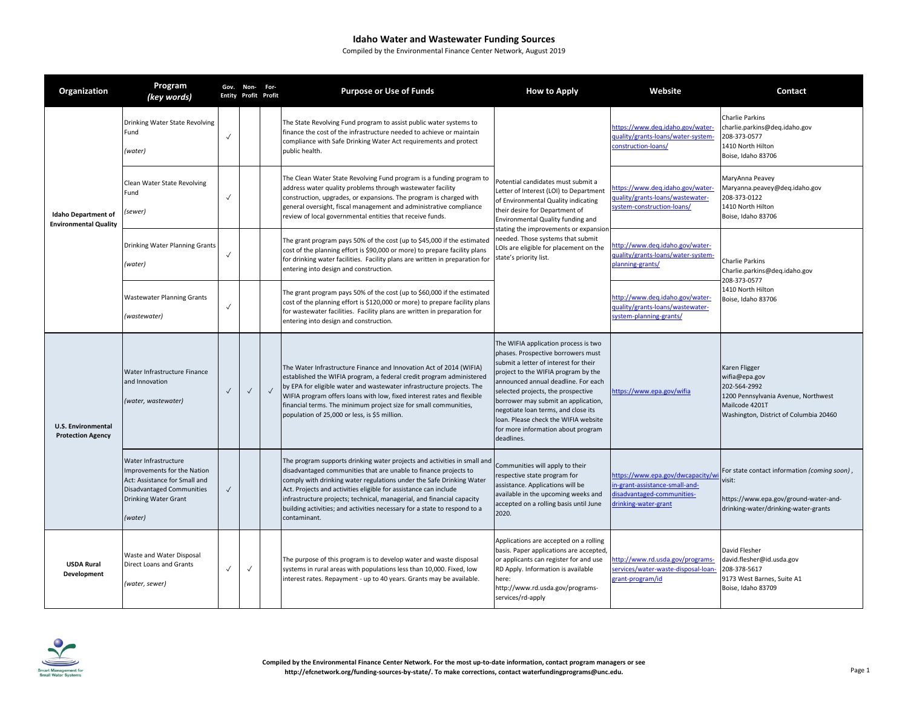| Organization                                               | Program<br>(key words)                                                                                                                                      |              | Gov. Non- For-<br><b>Entity Profit Profit</b> |            | <b>Purpose or Use of Funds</b>                                                                                                                                                                                                                                                                                                                                                                                                                                  | <b>How to Apply</b>                                                                                                                                                                                                                                                                                                                                                                                               | Website                                                                                                                 | Contact                                                                                                                                           |
|------------------------------------------------------------|-------------------------------------------------------------------------------------------------------------------------------------------------------------|--------------|-----------------------------------------------|------------|-----------------------------------------------------------------------------------------------------------------------------------------------------------------------------------------------------------------------------------------------------------------------------------------------------------------------------------------------------------------------------------------------------------------------------------------------------------------|-------------------------------------------------------------------------------------------------------------------------------------------------------------------------------------------------------------------------------------------------------------------------------------------------------------------------------------------------------------------------------------------------------------------|-------------------------------------------------------------------------------------------------------------------------|---------------------------------------------------------------------------------------------------------------------------------------------------|
| <b>Idaho Department of</b><br><b>Environmental Quality</b> | Drinking Water State Revolving<br>Fund<br>(water)                                                                                                           | $\checkmark$ |                                               |            | The State Revolving Fund program to assist public water systems to<br>finance the cost of the infrastructure needed to achieve or maintain<br>compliance with Safe Drinking Water Act requirements and protect<br>public health.                                                                                                                                                                                                                                |                                                                                                                                                                                                                                                                                                                                                                                                                   | https://www.deq.idaho.gov/water-<br>quality/grants-loans/water-system-<br>construction-loans/                           | Charlie Parkins<br>charlie.parkins@deq.idaho.gov<br>208-373-0577<br>1410 North Hilton<br>Boise, Idaho 83706                                       |
|                                                            | Clean Water State Revolving<br>Fund<br>(sewer)                                                                                                              | $\checkmark$ |                                               |            | The Clean Water State Revolving Fund program is a funding program to<br>address water quality problems through wastewater facility<br>construction, upgrades, or expansions. The program is charged with<br>general oversight, fiscal management and administrative compliance<br>review of local governmental entities that receive funds.                                                                                                                     | Potential candidates must submit a<br>Letter of Interest (LOI) to Department<br>of Environmental Quality indicating<br>their desire for Department of<br>Environmental Quality funding and                                                                                                                                                                                                                        | https://www.deq.idaho.gov/water-<br>uality/grants-loans/wastewater-<br>system-construction-loans/                       | MaryAnna Peavey<br>Maryanna.peavey@deq.idaho.gov<br>208-373-0122<br>1410 North Hilton<br>Boise, Idaho 83706                                       |
|                                                            | Drinking Water Planning Grants<br>(water)                                                                                                                   | $\checkmark$ |                                               |            | The grant program pays 50% of the cost (up to \$45,000 if the estimated<br>cost of the planning effort is \$90,000 or more) to prepare facility plans<br>for drinking water facilities. Facility plans are written in preparation for<br>entering into design and construction.                                                                                                                                                                                 | stating the improvements or expansion<br>needed. Those systems that submit<br>LOIs are eligible for placement on the<br>state's priority list.                                                                                                                                                                                                                                                                    | http://www.deq.idaho.gov/water-<br>quality/grants-loans/water-system-<br>planning-grants/                               | Charlie Parkins<br>Charlie.parkins@deq.idaho.gov<br>208-373-0577<br>1410 North Hilton<br>Boise, Idaho 83706                                       |
|                                                            | <b>Wastewater Planning Grants</b><br>(wastewater)                                                                                                           | $\checkmark$ |                                               |            | The grant program pays 50% of the cost (up to \$60,000 if the estimated<br>cost of the planning effort is \$120,000 or more) to prepare facility plans<br>for wastewater facilities. Facility plans are written in preparation for<br>entering into design and construction.                                                                                                                                                                                    |                                                                                                                                                                                                                                                                                                                                                                                                                   | http://www.deq.idaho.gov/water-<br>quality/grants-loans/wastewater-<br>system-planning-grants/                          |                                                                                                                                                   |
| <b>U.S. Environmental</b><br><b>Protection Agency</b>      | Water Infrastructure Finance<br>and Innovation<br>(water, wastewater)                                                                                       | $\checkmark$ | $\checkmark$                                  | $\sqrt{ }$ | The Water Infrastructure Finance and Innovation Act of 2014 (WIFIA)<br>established the WIFIA program, a federal credit program administered<br>by EPA for eligible water and wastewater infrastructure projects. The<br>WIFIA program offers loans with low, fixed interest rates and flexible<br>financial terms. The minimum project size for small communities,<br>population of 25,000 or less, is \$5 million.                                             | The WIFIA application process is two<br>phases. Prospective borrowers must<br>submit a letter of interest for their<br>project to the WIFIA program by the<br>announced annual deadline. For each<br>selected projects, the prospective<br>borrower may submit an application,<br>negotiate loan terms, and close its<br>Ioan. Please check the WIFIA website<br>for more information about program<br>deadlines. | https://www.epa.gov/wifia                                                                                               | Karen Fligger<br>wifia@epa.gov<br>202-564-2992<br>1200 Pennsylvania Avenue, Northwest<br>Mailcode 4201T<br>Washington, District of Columbia 20460 |
|                                                            | Water Infrastructure<br>Improvements for the Nation<br>Act: Assistance for Small and<br><b>Disadvantaged Communities</b><br>Drinking Water Grant<br>(water) | $\checkmark$ |                                               |            | The program supports drinking water projects and activities in small and<br>disadvantaged communities that are unable to finance projects to<br>comply with drinking water regulations under the Safe Drinking Water<br>Act. Projects and activities eligible for assistance can include<br>infrastructure projects; technical, managerial, and financial capacity<br>building activities; and activities necessary for a state to respond to a<br>contaminant. | Communities will apply to their<br>respective state program for<br>assistance. Applications will be<br>available in the upcoming weeks and<br>accepted on a rolling basis until June<br>2020.                                                                                                                                                                                                                     | nttps://www.epa.gov/dwcapacity/w<br>n-grant-assistance-small-and-<br>lisadvantaged-communities-<br>Irinking-water-grant | For state contact information (coming soon),<br>visit:<br>https://www.epa.gov/ground-water-and-<br>drinking-water/drinking-water-grants           |
| <b>USDA Rural</b><br>Development                           | Waste and Water Disposal<br><b>Direct Loans and Grants</b><br>(water, sewer)                                                                                | $\checkmark$ | $\checkmark$                                  |            | The purpose of this program is to develop water and waste disposal<br>systems in rural areas with populations less than 10,000. Fixed, low<br>interest rates. Repayment - up to 40 years. Grants may be available.                                                                                                                                                                                                                                              | Applications are accepted on a rolling<br>basis. Paper applications are accepted,<br>or applicants can register for and use<br>RD Apply. Information is available<br>here:<br>http://www.rd.usda.gov/programs-<br>services/rd-apply                                                                                                                                                                               | http://www.rd.usda.gov/programs-<br>services/water-waste-disposal-loan<br>grant-program/id                              | David Flesher<br>david.flesher@id.usda.gov<br>208-378-5617<br>9173 West Barnes, Suite A1<br>Boise, Idaho 83709                                    |

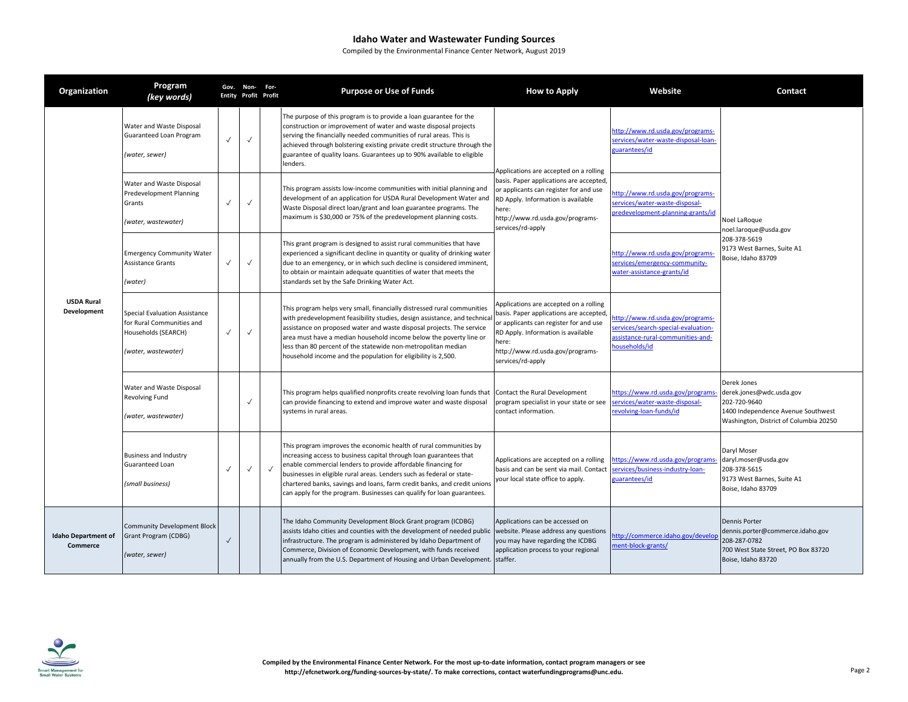| Organization                           | Program<br>(key words)                                                                                          |              | Gov. Non- For- | <b>Entity Profit Profit</b> | <b>Purpose or Use of Funds</b>                                                                                                                                                                                                                                                                                                                                                                                                          | <b>How to Apply</b>                                                                                                                                                                                                                | Website                                                                                                                       | Contact                                                                                                                                 |
|----------------------------------------|-----------------------------------------------------------------------------------------------------------------|--------------|----------------|-----------------------------|-----------------------------------------------------------------------------------------------------------------------------------------------------------------------------------------------------------------------------------------------------------------------------------------------------------------------------------------------------------------------------------------------------------------------------------------|------------------------------------------------------------------------------------------------------------------------------------------------------------------------------------------------------------------------------------|-------------------------------------------------------------------------------------------------------------------------------|-----------------------------------------------------------------------------------------------------------------------------------------|
| <b>USDA Rural</b><br>Development       | Water and Waste Disposal<br>Guaranteed Loan Program<br>(water, sewer)                                           | $\checkmark$ | $\checkmark$   |                             | The purpose of this program is to provide a loan guarantee for the<br>construction or improvement of water and waste disposal projects<br>serving the financially needed communities of rural areas. This is<br>achieved through bolstering existing private credit structure through the<br>guarantee of quality loans. Guarantees up to 90% available to eligible<br>lenders.                                                         | Applications are accepted on a rolling<br>basis. Paper applications are accepted,<br>or applicants can register for and use<br>RD Apply. Information is available<br>ere:<br>-1ttp://www.rd.usda.gov/programs<br>services/rd-apply | http://www.rd.usda.gov/programs-<br>services/water-waste-disposal-loan-<br>guarantees/id                                      | Noel LaRoque<br>noel.laroque@usda.gov<br>208-378-5619<br>9173 West Barnes, Suite A1<br>Boise, Idaho 83709                               |
|                                        | Water and Waste Disposal<br>Predevelopment Planning<br>Grants<br>(water, wastewater)                            | $\checkmark$ | $\checkmark$   |                             | This program assists low-income communities with initial planning and<br>development of an application for USDA Rural Development Water and<br>Waste Disposal direct loan/grant and loan guarantee programs. The<br>maximum is \$30,000 or 75% of the predevelopment planning costs.                                                                                                                                                    |                                                                                                                                                                                                                                    | http://www.rd.usda.gov/programs-<br>services/water-waste-disposal-<br>predevelopment-planning-grants/id                       |                                                                                                                                         |
|                                        | <b>Emergency Community Water</b><br>Assistance Grants<br>(water)                                                | $\checkmark$ | $\checkmark$   |                             | This grant program is designed to assist rural communities that have<br>experienced a significant decline in quantity or quality of drinking water<br>due to an emergency, or in which such decline is considered imminent,<br>to obtain or maintain adequate quantities of water that meets the<br>standards set by the Safe Drinking Water Act.                                                                                       |                                                                                                                                                                                                                                    | http://www.rd.usda.gov/programs<br>services/emergency-community-<br>water-assistance-grants/id                                |                                                                                                                                         |
|                                        | <b>Special Evaluation Assistance</b><br>for Rural Communities and<br>Households (SEARCH)<br>(water, wastewater) | $\checkmark$ | $\checkmark$   |                             | This program helps very small, financially distressed rural communities<br>with predevelopment feasibility studies, design assistance, and technical<br>assistance on proposed water and waste disposal projects. The service<br>area must have a median household income below the poverty line or<br>less than 80 percent of the statewide non-metropolitan median<br>household income and the population for eligibility is 2,500.   | Applications are accepted on a rolling<br>basis. Paper applications are accepted<br>or applicants can register for and use<br>RD Apply. Information is available<br>here:<br>http://www.rd.usda.gov/programs-<br>services/rd-apply | http://www.rd.usda.gov/programs-<br>services/search-special-evaluation-<br>assistance-rural-communities-and-<br>households/id |                                                                                                                                         |
|                                        | Water and Waste Disposal<br>Revolving Fund<br>(water, wastewater)                                               |              | $\checkmark$   |                             | This program helps qualified nonprofits create revolving loan funds that<br>can provide financing to extend and improve water and waste disposal<br>systems in rural areas.                                                                                                                                                                                                                                                             | Contact the Rural Development<br>program specialist in your state or see<br>contact information.                                                                                                                                   | https://www.rd.usda.gov/programs<br>services/water-waste-disposal-<br>evolving-loan-funds/id                                  | Derek Jones<br>derek.jones@wdc.usda.gov<br>202-720-9640<br>1400 Independence Avenue Southwest<br>Washington, District of Columbia 20250 |
|                                        | <b>Business and Industry</b><br>Guaranteed Loan<br>(small business)                                             | $\checkmark$ | $\checkmark$   | $\sqrt{ }$                  | This program improves the economic health of rural communities by<br>increasing access to business capital through loan guarantees that<br>enable commercial lenders to provide affordable financing for<br>businesses in eligible rural areas. Lenders such as federal or state-<br>chartered banks, savings and loans, farm credit banks, and credit unions<br>can apply for the program. Businesses can qualify for loan guarantees. | Applications are accepted on a rolling<br>basis and can be sent via mail. Contact<br>your local state office to apply.                                                                                                             | https://www.rd.usda.gov/programs-<br>services/business-industry-loan-<br>guarantees/id                                        | Daryl Moser<br>daryl.moser@usda.gov<br>208-378-5615<br>9173 West Barnes, Suite A1<br>Boise, Idaho 83709                                 |
| <b>Idaho Department of</b><br>Commerce | <b>Community Development Block</b><br>Grant Program (CDBG)<br>(water, sewer)                                    | $\checkmark$ |                |                             | The Idaho Community Development Block Grant program (ICDBG)<br>assists Idaho cities and counties with the development of needed public website. Please address any questions<br>infrastructure. The program is administered by Idaho Department of<br>Commerce, Division of Economic Development, with funds received<br>annually from the U.S. Department of Housing and Urban Development. staffer.                                   | Applications can be accessed on<br>you may have regarding the ICDBG<br>application process to your regional                                                                                                                        | http://commerce.idaho.gov/develor<br>ment-block-grants/                                                                       | Dennis Porter<br>dennis.porter@commerce.idaho.gov<br>208-287-0782<br>700 West State Street, PO Box 83720<br>Boise, Idaho 83720          |

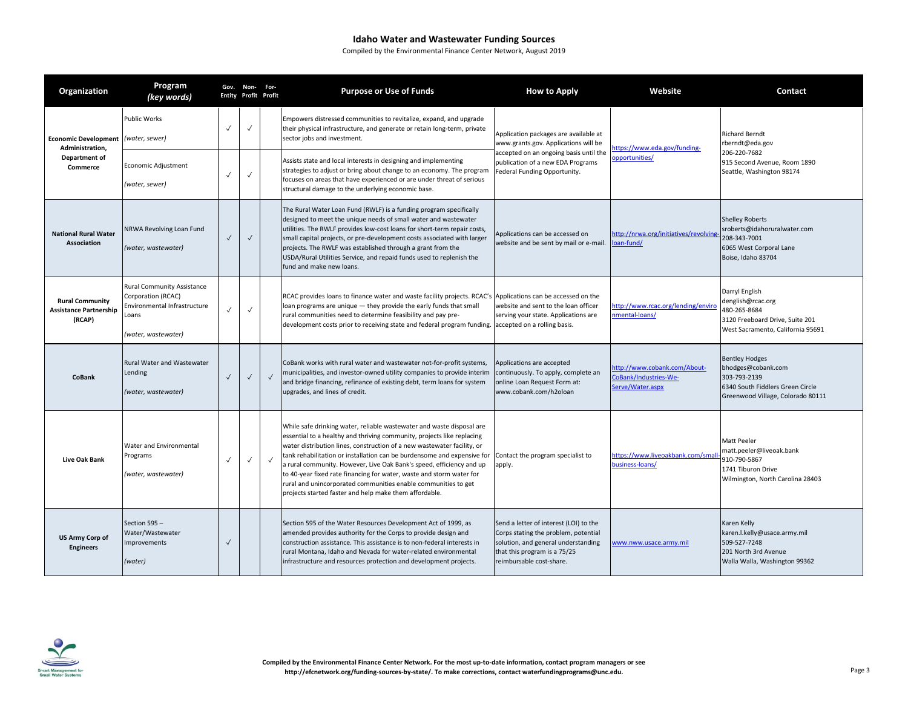| Organization                                                                        | Program<br>(key words)                                                                                                  |              | Gov. Non- For-<br><b>Entity Profit Profit</b> |            | <b>Purpose or Use of Funds</b>                                                                                                                                                                                                                                                                                                                                                                                                                                                                                                                                                    | <b>How to Apply</b>                                                                                                                                                               | Website                                                                   | Contact                                                                                                                              |
|-------------------------------------------------------------------------------------|-------------------------------------------------------------------------------------------------------------------------|--------------|-----------------------------------------------|------------|-----------------------------------------------------------------------------------------------------------------------------------------------------------------------------------------------------------------------------------------------------------------------------------------------------------------------------------------------------------------------------------------------------------------------------------------------------------------------------------------------------------------------------------------------------------------------------------|-----------------------------------------------------------------------------------------------------------------------------------------------------------------------------------|---------------------------------------------------------------------------|--------------------------------------------------------------------------------------------------------------------------------------|
| Economic Development (water, sewer)<br>Administration.<br>Department of<br>Commerce | Public Works                                                                                                            |              | $\checkmark$                                  |            | Empowers distressed communities to revitalize, expand, and upgrade<br>their physical infrastructure, and generate or retain long-term, private<br>sector jobs and investment.                                                                                                                                                                                                                                                                                                                                                                                                     | Application packages are available at<br>www.grants.gov. Applications will be                                                                                                     | https://www.eda.gov/funding-                                              | <b>Richard Berndt</b><br>rberndt@eda.gov                                                                                             |
|                                                                                     | Economic Adjustment<br>(water, sewer)                                                                                   | $\checkmark$ | $\checkmark$                                  |            | Assists state and local interests in designing and implementing<br>strategies to adjust or bring about change to an economy. The program<br>focuses on areas that have experienced or are under threat of serious<br>structural damage to the underlying economic base.                                                                                                                                                                                                                                                                                                           | accepted on an ongoing basis until the<br>publication of a new EDA Programs<br>Federal Funding Opportunity.                                                                       | opportunities/                                                            | 206-220-7682<br>915 Second Avenue, Room 1890<br>Seattle, Washington 98174                                                            |
| <b>National Rural Water</b><br><b>Association</b>                                   | NRWA Revolving Loan Fund<br>(water, wastewater)                                                                         | $\checkmark$ | $\checkmark$                                  |            | The Rural Water Loan Fund (RWLF) is a funding program specifically<br>designed to meet the unique needs of small water and wastewater<br>utilities. The RWLF provides low-cost loans for short-term repair costs,<br>small capital projects, or pre-development costs associated with larger<br>projects. The RWLF was established through a grant from the<br>USDA/Rural Utilities Service, and repaid funds used to replenish the<br>fund and make new loans.                                                                                                                   | Applications can be accessed on<br>website and be sent by mail or e-mail.                                                                                                         | http://nrwa.org/initiatives/revolving<br>oan-fund/                        | <b>Shelley Roberts</b><br>sroberts@idahoruralwater.com<br>208-343-7001<br>6065 West Corporal Lane<br>Boise, Idaho 83704              |
| <b>Rural Community</b><br><b>Assistance Partnership</b><br>(RCAP)                   | <b>Rural Community Assistance</b><br>Corporation (RCAC)<br>Environmental Infrastructure<br>Loans<br>(water, wastewater) | $\checkmark$ | $\checkmark$                                  |            | RCAC provides loans to finance water and waste facility projects. RCAC's Applications can be accessed on the<br>loan programs are unique - they provide the early funds that small<br>rural communities need to determine feasibility and pay pre-<br>development costs prior to receiving state and federal program funding. accepted on a rolling basis.                                                                                                                                                                                                                        | website and sent to the loan officer<br>serving your state. Applications are                                                                                                      | http://www.rcac.org/lending/enviro<br>nmental-loans/                      | Darryl English<br>denglish@rcac.org<br>480-265-8684<br>3120 Freeboard Drive, Suite 201<br>West Sacramento, California 95691          |
| CoBank                                                                              | Rural Water and Wastewater<br>Lending<br>(water, wastewater)                                                            | $\checkmark$ | $\checkmark$                                  | $\sqrt{ }$ | CoBank works with rural water and wastewater not-for-profit systems,<br>municipalities, and investor-owned utility companies to provide interim<br>and bridge financing, refinance of existing debt, term loans for system<br>upgrades, and lines of credit.                                                                                                                                                                                                                                                                                                                      | Applications are accepted<br>continuously. To apply, complete an<br>online Loan Request Form at:<br>www.cobank.com/h2oloan                                                        | http://www.cobank.com/About-<br>CoBank/Industries-We-<br>Serve/Water.aspx | <b>Bentley Hodges</b><br>bhodges@cobank.com<br>303-793-2139<br>6340 South Fiddlers Green Circle<br>Greenwood Village, Colorado 80111 |
| <b>Live Oak Bank</b>                                                                | Water and Environmental<br>Programs<br>(water, wastewater)                                                              | $\checkmark$ | $\checkmark$                                  | $\sqrt{ }$ | While safe drinking water, reliable wastewater and waste disposal are<br>essential to a healthy and thriving community, projects like replacing<br>water distribution lines, construction of a new wastewater facility, or<br>tank rehabilitation or installation can be burdensome and expensive for<br>a rural community. However, Live Oak Bank's speed, efficiency and up<br>to 40-year fixed rate financing for water, waste and storm water for<br>rural and unincorporated communities enable communities to get<br>projects started faster and help make them affordable. | Contact the program specialist to<br>apply.                                                                                                                                       | https://www.liveoakbank.com/sma<br>business-loans/                        | Matt Peeler<br>matt.peeler@liveoak.bank<br>910-790-5867<br>1741 Tiburon Drive<br>Wilmington, North Carolina 28403                    |
| <b>US Army Corp of</b><br><b>Engineers</b>                                          | Section 595 -<br>Water/Wastewater<br>Improvements<br>(water)                                                            | $\checkmark$ |                                               |            | Section 595 of the Water Resources Development Act of 1999, as<br>amended provides authority for the Corps to provide design and<br>construction assistance. This assistance is to non-federal interests in<br>rural Montana, Idaho and Nevada for water-related environmental<br>infrastructure and resources protection and development projects.                                                                                                                                                                                                                               | Send a letter of interest (LOI) to the<br>Corps stating the problem, potential<br>solution, and general understanding<br>that this program is a 75/25<br>reimbursable cost-share. | www.nww.usace.army.mil                                                    | Karen Kelly<br>karen.l.kelly@usace.army.mil<br>509-527-7248<br>201 North 3rd Avenue<br>Walla Walla, Washington 99362                 |

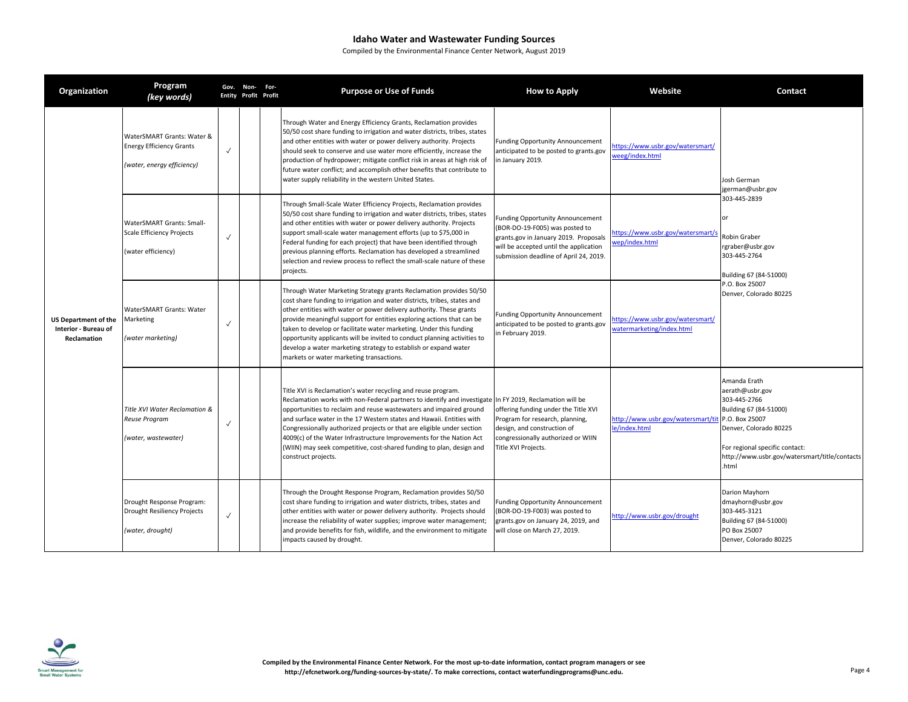| Organization                                                       | Program<br>(key words)                                                                      |              | Gov. Non- For-<br><b>Entity Profit Profit</b> | <b>Purpose or Use of Funds</b>                                                                                                                                                                                                                                                                                                                                                                                                                                                                                                                                         | <b>How to Apply</b>                                                                                                                                                                                    | Website                                                       | <b>Contact</b>                                                                                                                                                                                                   |
|--------------------------------------------------------------------|---------------------------------------------------------------------------------------------|--------------|-----------------------------------------------|------------------------------------------------------------------------------------------------------------------------------------------------------------------------------------------------------------------------------------------------------------------------------------------------------------------------------------------------------------------------------------------------------------------------------------------------------------------------------------------------------------------------------------------------------------------------|--------------------------------------------------------------------------------------------------------------------------------------------------------------------------------------------------------|---------------------------------------------------------------|------------------------------------------------------------------------------------------------------------------------------------------------------------------------------------------------------------------|
| <b>US Department of the</b><br>Interior - Bureau of<br>Reclamation | WaterSMART Grants: Water &<br><b>Energy Efficiency Grants</b><br>(water, energy efficiency) | $\checkmark$ |                                               | Through Water and Energy Efficiency Grants, Reclamation provides<br>50/50 cost share funding to irrigation and water districts, tribes, states<br>and other entities with water or power delivery authority. Projects<br>should seek to conserve and use water more efficiently, increase the<br>production of hydropower; mitigate conflict risk in areas at high risk of<br>future water conflict; and accomplish other benefits that contribute to<br>water supply reliability in the western United States.                                                        | <b>Funding Opportunity Announcement</b><br>anticipated to be posted to grants.gov<br>in January 2019.                                                                                                  | https://www.usbr.gov/watersmart/<br>weeg/index.html           | Josh German<br>jgerman@usbr.gov                                                                                                                                                                                  |
|                                                                    | WaterSMART Grants: Small-<br><b>Scale Efficiency Projects</b><br>(water efficiency)         | $\checkmark$ |                                               | Through Small-Scale Water Efficiency Projects, Reclamation provides<br>50/50 cost share funding to irrigation and water districts, tribes, states<br>and other entities with water or power delivery authority. Projects<br>support small-scale water management efforts (up to \$75,000 in<br>Federal funding for each project) that have been identified through<br>previous planning efforts. Reclamation has developed a streamlined<br>selection and review process to reflect the small-scale nature of these<br>projects.                                       | <b>Funding Opportunity Announcement</b><br>(BOR-DO-19-F005) was posted to<br>grants.gov in January 2019. Proposals<br>will be accepted until the application<br>submission deadline of April 24, 2019. | https://www.usbr.gov/watersmart/s<br>wep/index.html           | 303-445-2839<br>nr.<br><b>Robin Graber</b><br>rgraber@usbr.gov<br>303-445-2764<br>Building 67 (84-51000)<br>P.O. Box 25007<br>Denver, Colorado 80225                                                             |
|                                                                    | WaterSMART Grants: Water<br>Marketing<br>(water marketing)                                  | $\checkmark$ |                                               | Through Water Marketing Strategy grants Reclamation provides 50/50<br>cost share funding to irrigation and water districts, tribes, states and<br>other entities with water or power delivery authority. These grants<br>provide meaningful support for entities exploring actions that can be<br>taken to develop or facilitate water marketing. Under this funding<br>opportunity applicants will be invited to conduct planning activities to<br>develop a water marketing strategy to establish or expand water<br>markets or water marketing transactions.        | <b>Funding Opportunity Announcement</b><br>anticipated to be posted to grants.gov<br>in February 2019.                                                                                                 | https://www.usbr.gov/watersmart/<br>watermarketing/index.html |                                                                                                                                                                                                                  |
|                                                                    | Title XVI Water Reclamation &<br>Reuse Program<br>(water, wastewater)                       | $\checkmark$ |                                               | Title XVI is Reclamation's water recycling and reuse program.<br>Reclamation works with non-Federal partners to identify and investigate In FY 2019, Reclamation will be<br>opportunities to reclaim and reuse wastewaters and impaired ground<br>and surface water in the 17 Western states and Hawaii. Entities with<br>Congressionally authorized projects or that are eligible under section<br>4009(c) of the Water Infrastructure Improvements for the Nation Act<br>(WIIN) may seek competitive, cost-shared funding to plan, design and<br>construct projects. | offering funding under the Title XVI<br>Program for research, planning,<br>design, and construction of<br>congressionally authorized or WIIN<br>Title XVI Projects.                                    | http://www.usbr.gov/watersmart/ti<br>le/index.html            | Amanda Erath<br>aerath@usbr.gov<br>303-445-2766<br>Building 67 (84-51000)<br>P.O. Box 25007<br>Denver, Colorado 80225<br>For regional specific contact:<br>http://www.usbr.gov/watersmart/title/contacts<br>html |
|                                                                    | Drought Response Program:<br>Drought Resiliency Projects<br>(water, drought)                | $\checkmark$ |                                               | Through the Drought Response Program, Reclamation provides 50/50<br>cost share funding to irrigation and water districts, tribes, states and<br>other entities with water or power delivery authority. Projects should<br>increase the reliability of water supplies; improve water management;<br>and provide benefits for fish, wildlife, and the environment to mitigate<br>impacts caused by drought.                                                                                                                                                              | <b>Funding Opportunity Announcement</b><br>(BOR-DO-19-F003) was posted to<br>grants.gov on January 24, 2019, and<br>will close on March 27, 2019.                                                      | http://www.usbr.gov/drought                                   | Darion Mayhorn<br>dmayhorn@usbr.gov<br>303-445-3121<br>Building 67 (84-51000)<br>PO Box 25007<br>Denver, Colorado 80225                                                                                          |